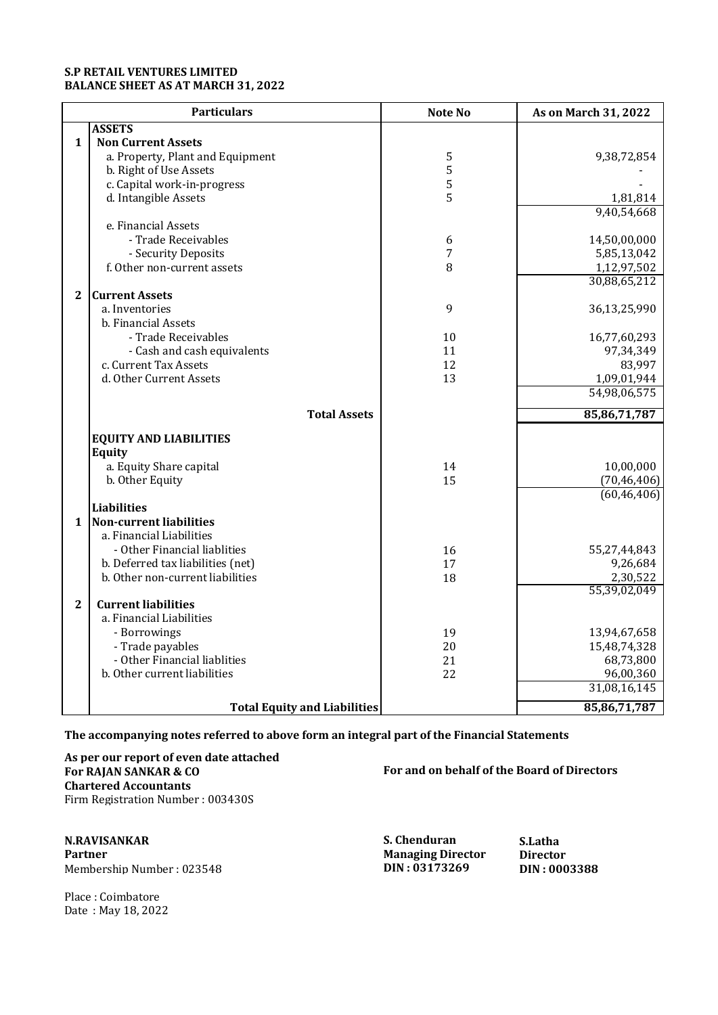## **S.P RETAIL VENTURES LIMITED BALANCE SHEET AS AT MARCH 31, 2022**

|                | <b>Particulars</b>                  | <b>Note No</b> | As on March 31, 2022 |
|----------------|-------------------------------------|----------------|----------------------|
|                | <b>ASSETS</b>                       |                |                      |
| $\mathbf{1}$   | <b>Non Current Assets</b>           |                |                      |
|                | a. Property, Plant and Equipment    | 5              | 9,38,72,854          |
|                | b. Right of Use Assets              | 5              |                      |
|                | c. Capital work-in-progress         | 5              |                      |
|                | d. Intangible Assets                | 5              | 1,81,814             |
|                |                                     |                | 9,40,54,668          |
|                | e. Financial Assets                 |                |                      |
|                | - Trade Receivables                 | 6              | 14,50,00,000         |
|                | - Security Deposits                 | 7              | 5,85,13,042          |
|                | f. Other non-current assets         | 8              | 1,12,97,502          |
|                |                                     |                | 30,88,65,212         |
| $\mathbf{2}$   | <b>Current Assets</b>               |                |                      |
|                | a. Inventories                      | 9              | 36,13,25,990         |
|                | b. Financial Assets                 |                |                      |
|                | - Trade Receivables                 | 10             | 16,77,60,293         |
|                | - Cash and cash equivalents         | 11             | 97,34,349            |
|                | c. Current Tax Assets               | 12             | 83,997               |
|                | d. Other Current Assets             | 13             | 1,09,01,944          |
|                |                                     |                | 54,98,06,575         |
|                | <b>Total Assets</b>                 |                | 85,86,71,787         |
|                |                                     |                |                      |
|                | <b>EQUITY AND LIABILITIES</b>       |                |                      |
|                | <b>Equity</b>                       |                |                      |
|                | a. Equity Share capital             | 14             | 10,00,000            |
|                | b. Other Equity                     | 15             | (70, 46, 406)        |
|                |                                     |                | (60, 46, 406)        |
|                | <b>Liabilities</b>                  |                |                      |
| 1              | <b>Non-current liabilities</b>      |                |                      |
|                | a. Financial Liabilities            |                |                      |
|                | - Other Financial liablities        | 16             | 55,27,44,843         |
|                | b. Deferred tax liabilities (net)   | 17             | 9,26,684             |
|                | b. Other non-current liabilities    | 18             | 2,30,522             |
|                |                                     |                | 55,39,02,049         |
| $\overline{2}$ | <b>Current liabilities</b>          |                |                      |
|                | a. Financial Liabilities            |                |                      |
|                | - Borrowings                        | 19             | 13,94,67,658         |
|                | - Trade payables                    | 20             | 15,48,74,328         |
|                | - Other Financial liablities        | 21             | 68,73,800            |
|                | b. Other current liabilities        | 22             | 96,00,360            |
|                |                                     |                | 31,08,16,145         |
|                | <b>Total Equity and Liabilities</b> |                | 85,86,71,787         |

**The accompanying notes referred to above form an integral part of the Financial Statements**

**As per our report of even date attached For RAJAN SANKAR & CO For and on behalf of the Board of Directors Chartered Accountants** Firm Registration Number : 003430S

**N.RAVISANKAR S. Chenduran S.Latha**  $M$ embership Number : 023548

**Participal Exercise States**<br> **Paraging Director**<br> **DIN: 03173269**<br> **DIN: 0003388** 

Place : Coimbatore Date : May 18, 2022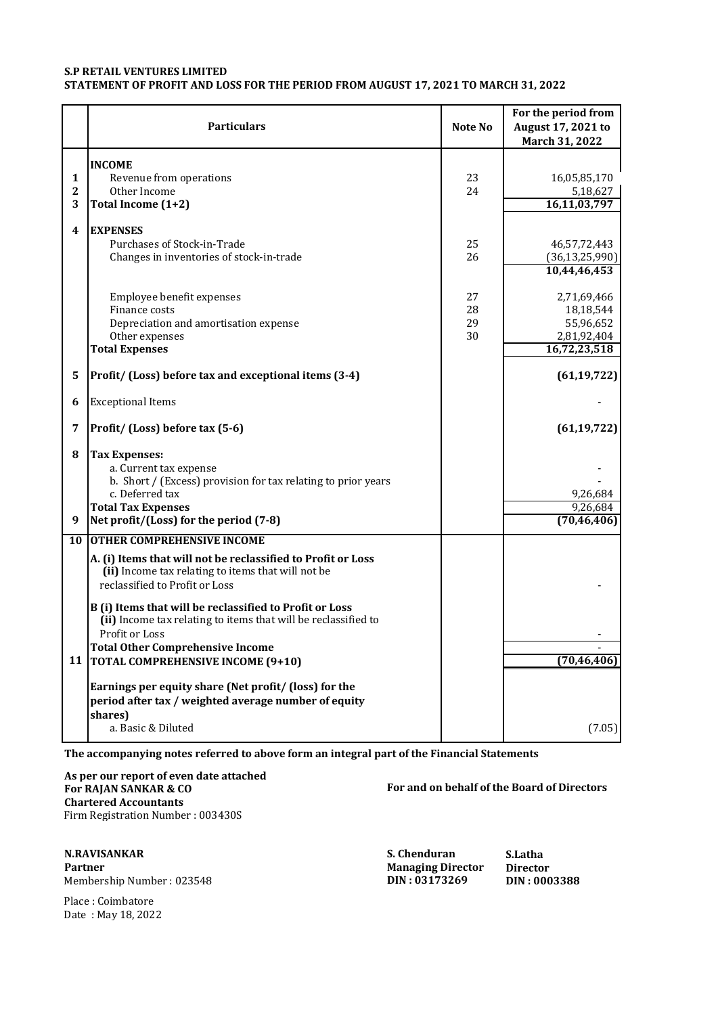## **S.P RETAIL VENTURES LIMITED STATEMENT OF PROFIT AND LOSS FOR THE PERIOD FROM AUGUST 17, 2021 TO MARCH 31, 2022**

|                            | <b>Particulars</b>                                                                                                                                                                                        | Note No              | For the period from<br>August 17, 2021 to<br>March 31, 2022          |
|----------------------------|-----------------------------------------------------------------------------------------------------------------------------------------------------------------------------------------------------------|----------------------|----------------------------------------------------------------------|
| 1<br>$\boldsymbol{2}$<br>3 | <b>INCOME</b><br>Revenue from operations<br>Other Income<br>Total Income (1+2)                                                                                                                            | 23<br>24             | 16,05,85,170<br>5,18,627<br>16,11,03,797                             |
| 4                          | <b>EXPENSES</b><br>Purchases of Stock-in-Trade<br>Changes in inventories of stock-in-trade                                                                                                                | 25<br>26             | 46,57,72,443<br>(36, 13, 25, 990)<br>10,44,46,453                    |
|                            | Employee benefit expenses<br>Finance costs<br>Depreciation and amortisation expense<br>Other expenses<br><b>Total Expenses</b>                                                                            | 27<br>28<br>29<br>30 | 2,71,69,466<br>18,18,544<br>55,96,652<br>2,81,92,404<br>16,72,23,518 |
| 5                          | Profit/ (Loss) before tax and exceptional items (3-4)                                                                                                                                                     |                      | (61, 19, 722)                                                        |
| 6                          | <b>Exceptional Items</b>                                                                                                                                                                                  |                      |                                                                      |
| 7                          | Profit/ (Loss) before tax (5-6)                                                                                                                                                                           |                      | (61, 19, 722)                                                        |
| 8<br>9                     | <b>Tax Expenses:</b><br>a. Current tax expense<br>b. Short / (Excess) provision for tax relating to prior years<br>c. Deferred tax<br><b>Total Tax Expenses</b><br>Net profit/(Loss) for the period (7-8) |                      | 9,26,684<br>9,26,684<br>(70, 46, 406)                                |
| 10                         | <b>OTHER COMPREHENSIVE INCOME</b>                                                                                                                                                                         |                      |                                                                      |
|                            | A. (i) Items that will not be reclassified to Profit or Loss<br>(ii) Income tax relating to items that will not be<br>reclassified to Profit or Loss                                                      |                      |                                                                      |
|                            | B (i) Items that will be reclassified to Profit or Loss<br>(ii) Income tax relating to items that will be reclassified to<br>Profit or Loss<br><b>Total Other Comprehensive Income</b>                    |                      |                                                                      |
| 11                         | <b>TOTAL COMPREHENSIVE INCOME (9+10)</b><br>Earnings per equity share (Net profit/ (loss) for the<br>period after tax / weighted average number of equity<br>shares)                                      |                      | (70, 46, 406)                                                        |
|                            | a. Basic & Diluted                                                                                                                                                                                        |                      | (7.05)                                                               |

**The accompanying notes referred to above form an integral part of the Financial Statements**

**As per our report of even date attached For RAJAN SANKAR & CO For and on behalf of the Board of Directors Chartered Accountants** Firm Registration Number : 003430S

**N.RAVISANKAR S. Chenduran S.Latha Managing Director Director**<br>**DIN: 03173269 DIN: 0003388** 

 $M$ embership Number : 023548

Place : Coimbatore Date : May 18, 2022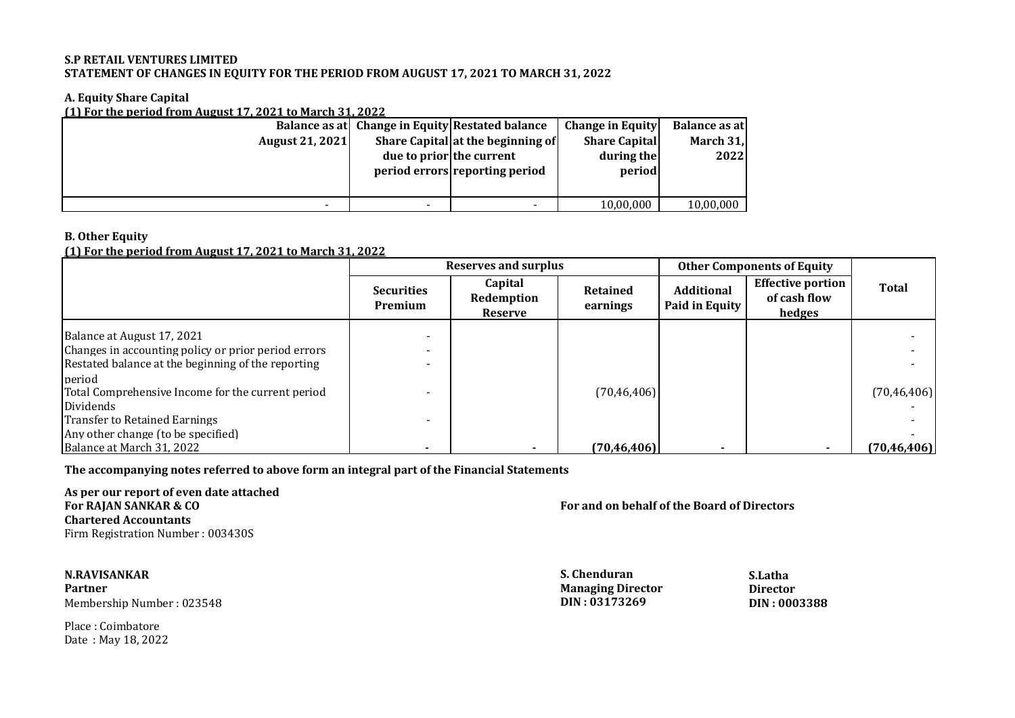# **S.P RETAIL VENTURES LIMITED STATEMENT OF CHANGES IN EQUITY FOR THE PERIOD FROM AUGUST 17, 2021 TO MARCH 31, 2022**

# **A. Equity Share Capital**

**(1) For the period from August 17, 2021 to March 31, 2022**

|                        |                          | Balance as at Change in Equity Restated balance | <b>Change in Equity</b> | Balance as at |
|------------------------|--------------------------|-------------------------------------------------|-------------------------|---------------|
| <b>August 21, 2021</b> |                          | Share Capital at the beginning of               | <b>Share Capital</b>    | March 31,     |
|                        | due to prior the current |                                                 | during the              | 2022          |
|                        |                          | period errors reporting period                  | period                  |               |
|                        |                          |                                                 |                         |               |
|                        |                          |                                                 | 10,00,000               | 10,00,000     |

# **B. Other Equity**

# **(1) For the period from August 17, 2021 to March 31, 2022**

|                                                     |                              | <b>Reserves and surplus</b>      | <b>Other Components of Equity</b> |                                     |                                                    |               |
|-----------------------------------------------------|------------------------------|----------------------------------|-----------------------------------|-------------------------------------|----------------------------------------------------|---------------|
|                                                     | <b>Securities</b><br>Premium | Capital<br>Redemption<br>Reserve | <b>Retained</b><br>earnings       | <b>Additional</b><br>Paid in Equity | <b>Effective portion</b><br>of cash flow<br>hedges | <b>Total</b>  |
| Balance at August 17, 2021                          |                              |                                  |                                   |                                     |                                                    |               |
| Changes in accounting policy or prior period errors |                              |                                  |                                   |                                     |                                                    |               |
| Restated balance at the beginning of the reporting  |                              |                                  |                                   |                                     |                                                    |               |
| period                                              |                              |                                  |                                   |                                     |                                                    |               |
| Total Comprehensive Income for the current period   |                              |                                  | (70, 46, 406)                     |                                     |                                                    | (70, 46, 406) |
| Dividends                                           |                              |                                  |                                   |                                     |                                                    |               |
| <b>Transfer to Retained Earnings</b>                |                              |                                  |                                   |                                     |                                                    |               |
| Any other change (to be specified)                  |                              |                                  |                                   |                                     |                                                    |               |
| Balance at March 31, 2022                           |                              |                                  | (70.46.406)                       |                                     |                                                    | (70, 46, 406) |

**The accompanying notes referred to above form an integral part of the Financial Statements**

**As per our report of even date attached Chartered Accountants** Firm Registration Number : 003430S

**N.RAVISANKAR S. Chenduran S.Latha** Partner **Director Director Director Director Director Director Director Director Director Director Director Director Membership Number : 023548** Membership Number : 023548 **DIN : 03173269 DIN : 0003388**

Place : Coimbatore Date : May 18, 2022 **For RAJAN SANKAR & CO For and on behalf of the Board of Directors**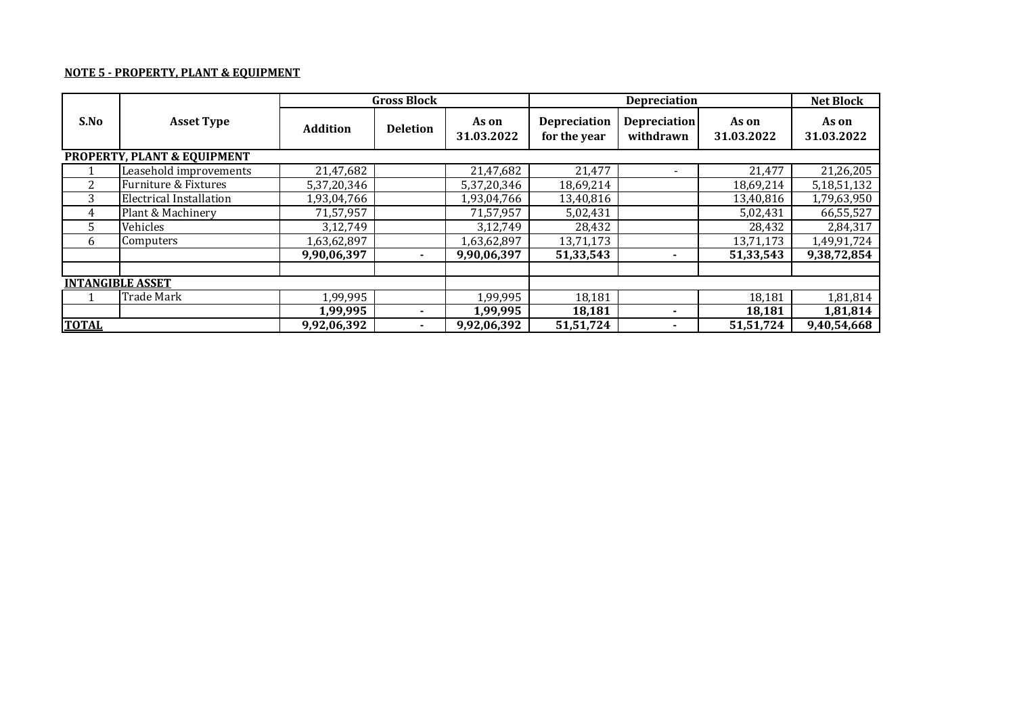# **NOTE 5 - PROPERTY, PLANT & EQUIPMENT**

|                         | <b>Gross Block</b><br><b>Depreciation</b> |                 |                 |                     |                                     | <b>Net Block</b>                 |                     |                     |
|-------------------------|-------------------------------------------|-----------------|-----------------|---------------------|-------------------------------------|----------------------------------|---------------------|---------------------|
| S.No                    | <b>Asset Type</b>                         | <b>Addition</b> | <b>Deletion</b> | As on<br>31.03.2022 | <b>Depreciation</b><br>for the year | <b>Depreciation</b><br>withdrawn | As on<br>31.03.2022 | As on<br>31.03.2022 |
|                         | PROPERTY, PLANT & EQUIPMENT               |                 |                 |                     |                                     |                                  |                     |                     |
|                         | Leasehold improvements                    | 21,47,682       |                 | 21,47,682           | 21,477                              | $\overline{\phantom{a}}$         | 21,477              | 21,26,205           |
| $\overline{2}$          | Furniture & Fixtures                      | 5,37,20,346     |                 | 5,37,20,346         | 18,69,214                           |                                  | 18,69,214           | 5,18,51,132         |
| 3                       | <b>Electrical Installation</b>            | 1,93,04,766     |                 | 1,93,04,766         | 13,40,816                           |                                  | 13,40,816           | 1,79,63,950         |
| 4                       | Plant & Machinery                         | 71,57,957       |                 | 71,57,957           | 5,02,431                            |                                  | 5,02,431            | 66,55,527           |
| 5.                      | Vehicles                                  | 3,12,749        |                 | 3,12,749            | 28,432                              |                                  | 28,432              | 2,84,317            |
| 6                       | Computers                                 | 1,63,62,897     |                 | 1,63,62,897         | 13,71,173                           |                                  | 13,71,173           | 1,49,91,724         |
|                         |                                           | 9,90,06,397     |                 | 9,90,06,397         | 51,33,543                           | ۰                                | 51,33,543           | 9,38,72,854         |
|                         |                                           |                 |                 |                     |                                     |                                  |                     |                     |
| <b>INTANGIBLE ASSET</b> |                                           |                 |                 |                     |                                     |                                  |                     |                     |
|                         | <b>Trade Mark</b>                         | 1,99,995        |                 | 1,99,995            | 18,181                              |                                  | 18,181              | 1,81,814            |
|                         |                                           | 1,99,995        |                 | 1,99,995            | 18,181                              |                                  | 18,181              | 1,81,814            |
| <b>TOTAL</b>            |                                           | 9,92,06,392     |                 | 9,92,06,392         | 51,51,724                           |                                  | 51,51,724           | 9,40,54,668         |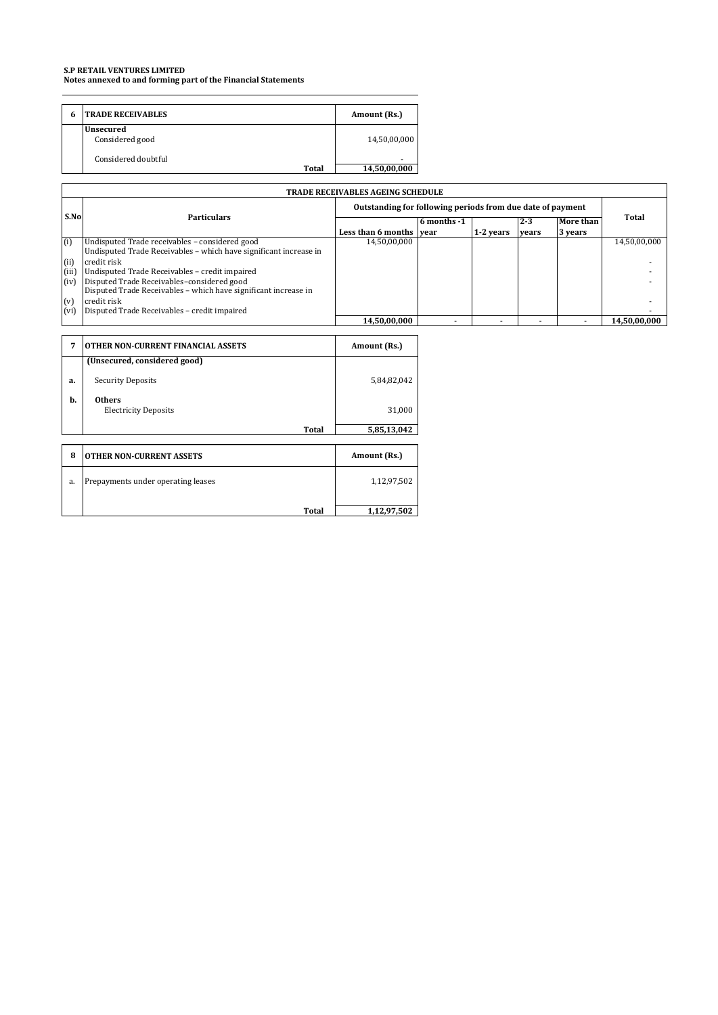**Notes annexed to and forming part of the Financial Statements**

| 6 | <b>TRADE RECEIVABLES</b>            | Amount (Rs.) |
|---|-------------------------------------|--------------|
|   | <b>Unsecured</b><br>Considered good | 14,50,00,000 |
|   | Considered doubtful<br><b>Total</b> | 14,50,00,000 |

|               | <b>TRADE RECEIVABLES AGEING SCHEDULE</b>                                                                            |                                                            |             |           |         |           |              |
|---------------|---------------------------------------------------------------------------------------------------------------------|------------------------------------------------------------|-------------|-----------|---------|-----------|--------------|
|               |                                                                                                                     | Outstanding for following periods from due date of payment |             |           |         |           |              |
| S.No          | <b>Particulars</b>                                                                                                  |                                                            | 6 months -1 |           | $2 - 3$ | More than | Total        |
|               |                                                                                                                     | Less than 6 months vear                                    |             | 1-2 years | vears   | 3 years   |              |
| (i)           | Undisputed Trade receivables - considered good<br>Undisputed Trade Receivables - which have significant increase in | 14,50,00,000                                               |             |           |         |           | 14.50.00.000 |
| (ii)          | credit risk                                                                                                         |                                                            |             |           |         |           |              |
| (iii)<br>(iv) | Undisputed Trade Receivables - credit impaired<br>Disputed Trade Receivables-considered good                        |                                                            |             |           |         |           |              |
|               | Disputed Trade Receivables - which have significant increase in                                                     |                                                            |             |           |         |           |              |
| (v)           | credit risk                                                                                                         |                                                            |             |           |         |           |              |
| (vi)          | Disputed Trade Receivables - credit impaired                                                                        |                                                            |             |           |         |           |              |
|               |                                                                                                                     | 14,50,00,000                                               |             |           |         |           | 14,50,00,000 |

| 7  | <b>OTHER NON-CURRENT FINANCIAL ASSETS</b>    | Amount (Rs.) |
|----|----------------------------------------------|--------------|
|    | (Unsecured, considered good)                 |              |
| a. | <b>Security Deposits</b>                     | 5,84,82,042  |
| b. | <b>Others</b><br><b>Electricity Deposits</b> | 31,000       |
|    | <b>Total</b>                                 | 5,85,13,042  |
|    |                                              |              |
| 8  | <b>OTHER NON-CURRENT ASSETS</b>              | Amount (Rs.) |
| a. | Prepayments under operating leases           | 1,12,97,502  |
|    | Total                                        | 1,12,97,502  |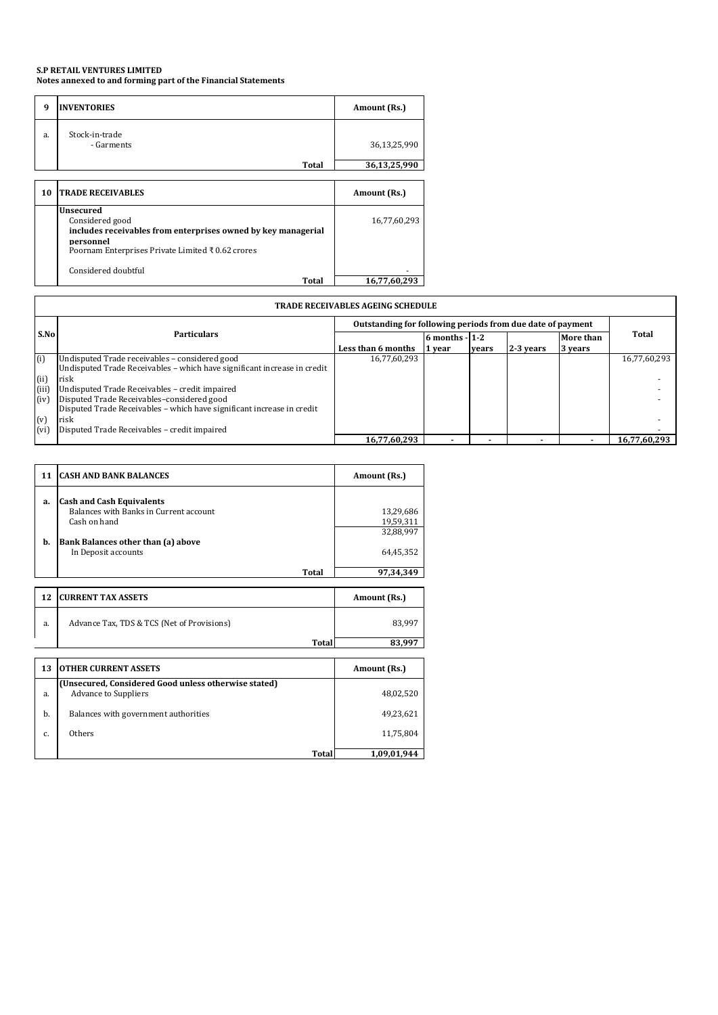**Notes annexed to and forming part of the Financial Statements**

| 9  | <b>INVENTORIES</b>                                                                                                                                              | Amount (Rs.) |
|----|-----------------------------------------------------------------------------------------------------------------------------------------------------------------|--------------|
| a. | Stock-in-trade<br>- Garments                                                                                                                                    | 36,13,25,990 |
|    | Total                                                                                                                                                           | 36,13,25,990 |
|    |                                                                                                                                                                 |              |
| 10 | <b>TRADE RECEIVABLES</b>                                                                                                                                        | Amount (Rs.) |
|    | Unsecured<br>Considered good<br>includes receivables from enterprises owned by key managerial<br>nersonnel<br>Poornam Enterprises Private Limited ₹ 0.62 crores | 16,77,60,293 |
|    | Considered doubtful<br>Total                                                                                                                                    | 16,77,60,293 |

|       | <b>TRADE RECEIVABLES AGEING SCHEDULE</b>                                 |                                                            |                |       |           |                  |              |
|-------|--------------------------------------------------------------------------|------------------------------------------------------------|----------------|-------|-----------|------------------|--------------|
|       |                                                                          | Outstanding for following periods from due date of payment |                |       |           |                  |              |
| S.No  | <b>Particulars</b>                                                       |                                                            | 6 months - 1-2 |       |           | <b>More than</b> | <b>Total</b> |
|       |                                                                          | Less than 6 months                                         | 1 year         | vears | 2-3 years | 3 years          |              |
| (i)   | Undisputed Trade receivables - considered good                           | 16,77,60,293                                               |                |       |           |                  | 16,77,60,293 |
|       | Undisputed Trade Receivables - which have significant increase in credit |                                                            |                |       |           |                  |              |
| (ii)  | risk                                                                     |                                                            |                |       |           |                  |              |
| (iii) | Undisputed Trade Receivables - credit impaired                           |                                                            |                |       |           |                  |              |
| (iv)  | Disputed Trade Receivables-considered good                               |                                                            |                |       |           |                  |              |
|       | Disputed Trade Receivables - which have significant increase in credit   |                                                            |                |       |           |                  |              |
| (v)   | risk                                                                     |                                                            |                |       |           |                  |              |
| (vi)  | Disputed Trade Receivables - credit impaired                             |                                                            |                |       |           |                  |              |
|       |                                                                          | 16,77,60,293                                               |                |       |           |                  | 16,77,60,293 |

| 11       | <b>CASH AND BANK BALANCES</b>                                                                                                                           | Amount (Rs.)                                     |
|----------|---------------------------------------------------------------------------------------------------------------------------------------------------------|--------------------------------------------------|
| a.<br>b. | <b>Cash and Cash Equivalents</b><br>Balances with Banks in Current account<br>Cash on hand<br>Bank Balances other than (a) above<br>In Deposit accounts | 13,29,686<br>19,59,311<br>32,88,997<br>64,45,352 |
|          | Total                                                                                                                                                   | 97.34.349                                        |

| 12 | <b>CURRENT TAX ASSETS</b>                  | Amount (Rs.) |
|----|--------------------------------------------|--------------|
| a. | Advance Tax, TDS & TCS (Net of Provisions) | 83.997       |
|    | Total                                      |              |

| 13 | <b>OTHER CURRENT ASSETS</b>                                                         | Amount (Rs.) |
|----|-------------------------------------------------------------------------------------|--------------|
| a. | (Unsecured, Considered Good unless otherwise stated)<br><b>Advance to Suppliers</b> | 48,02,520    |
| b. | Balances with government authorities                                                | 49,23,621    |
| C. | Others                                                                              | 11,75,804    |
|    | Total                                                                               | 1,09,01,944  |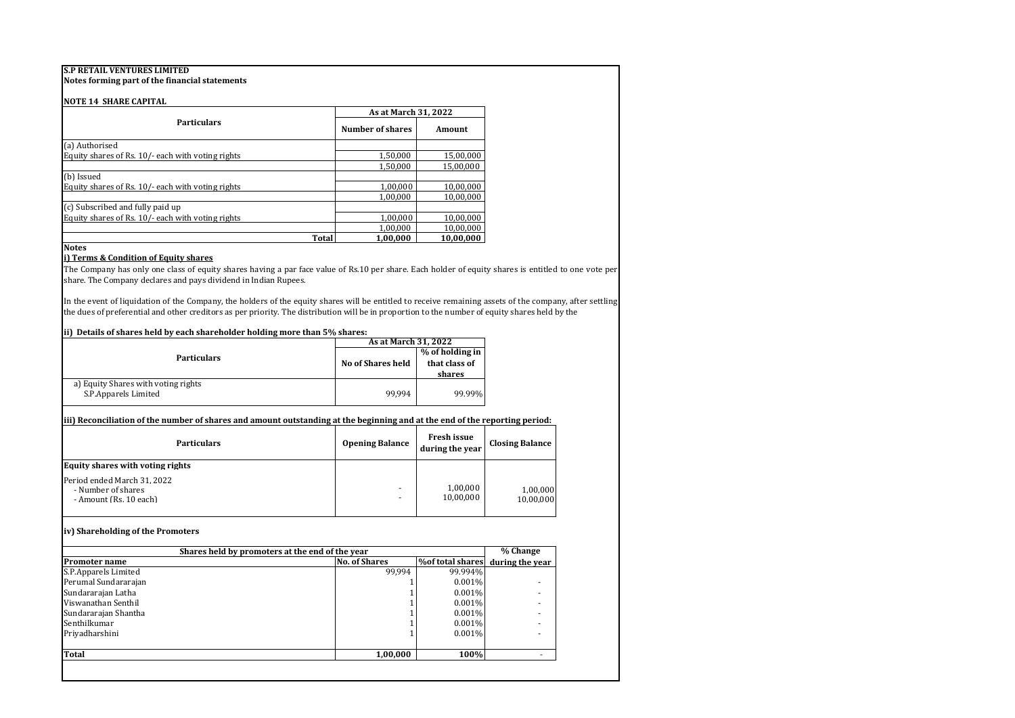**Notes forming part of the financial statements**

#### **NOTE 14 SHARE CAPITAL**

|                                                   | As at March 31, 2022 |           |  |
|---------------------------------------------------|----------------------|-----------|--|
| <b>Particulars</b>                                | Number of shares     | Amount    |  |
| (a) Authorised                                    |                      |           |  |
| Equity shares of Rs. 10/- each with voting rights | 1,50,000             | 15,00,000 |  |
|                                                   | 1,50,000             | 15,00,000 |  |
| (b) Issued                                        |                      |           |  |
| Equity shares of Rs. 10/- each with voting rights | 1,00,000             | 10,00,000 |  |
|                                                   | 1,00,000             | 10,00,000 |  |
| (c) Subscribed and fully paid up                  |                      |           |  |
| Equity shares of Rs. 10/- each with voting rights | 1,00,000             | 10,00,000 |  |
|                                                   | 1,00,000             | 10,00,000 |  |
| Total                                             | 1,00,000             | 10,00,000 |  |

#### **Notes**

### **i) Terms & Condition of Equity shares**

The Company has only one class of equity shares having a par face value of Rs.10 per share. Each holder of equity shares is entitled to one vote per share. The Company declares and pays dividend in Indian Rupees.

In the event of liquidation of the Company, the holders of the equity shares will be entitled to receive remaining assets of the company, after settling the dues of preferential and other creditors as per priority. The distribution will be in proportion to the number of equity shares held by the

### **ii) Details of shares held by each shareholder holding more than 5% shares:**

|                                                             | As at March 31, 2022     |                                            |  |
|-------------------------------------------------------------|--------------------------|--------------------------------------------|--|
| <b>Particulars</b>                                          | <b>No of Shares held</b> | % of holding in<br>that class of<br>shares |  |
| a) Equity Shares with voting rights<br>S.P.Apparels Limited | 99.994                   | 99.99%                                     |  |

#### **iii) Reconciliation of the number of shares and amount outstanding at the beginning and at the end of the reporting period:**

| <b>Particulars</b>                                                          | <b>Opening Balance</b> | Fresh issue<br>during the year | <b>Closing Balance</b> |
|-----------------------------------------------------------------------------|------------------------|--------------------------------|------------------------|
| <b>Equity shares with voting rights</b>                                     |                        |                                |                        |
| Period ended March 31, 2022<br>- Number of shares<br>- Amount (Rs. 10 each) |                        | 1,00,000<br>10,00,000          | 1,00,000<br>10.00.000  |

### **iv) Shareholding of the Promoters**

| Shares held by promoters at the end of the year                                     |          |         |  |
|-------------------------------------------------------------------------------------|----------|---------|--|
| %of total shares<br>during the year<br><b>No. of Shares</b><br><b>Promoter name</b> |          |         |  |
| S.P.Apparels Limited                                                                | 99.994   | 99.994% |  |
| Perumal Sundararajan                                                                |          | 0.001%  |  |
| Sundararajan Latha                                                                  |          | 0.001%  |  |
| Viswanathan Senthil                                                                 |          | 0.001%  |  |
| Sundararajan Shantha                                                                |          | 0.001%  |  |
| Senthilkumar                                                                        |          | 0.001%  |  |
| Priyadharshini                                                                      |          | 0.001%  |  |
| Total                                                                               | 1,00,000 | 100%    |  |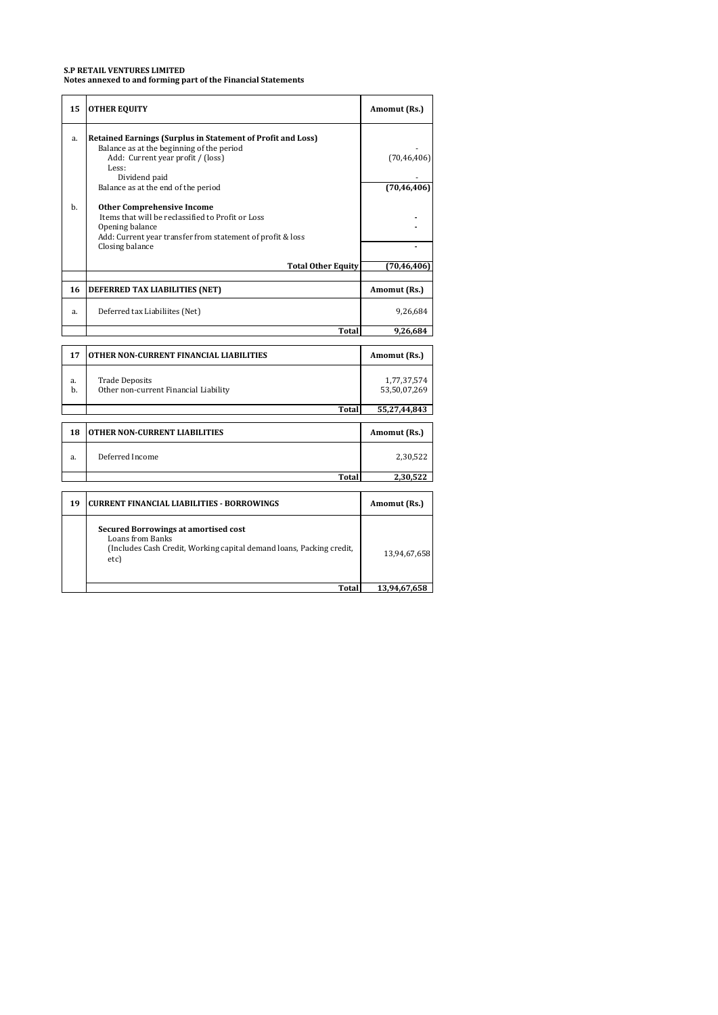**Notes annexed to and forming part of the Financial Statements**

| 15       | <b>OTHER EQUITY</b>                                                                                                                                                                                                               | Amomut (Rs.)                 |
|----------|-----------------------------------------------------------------------------------------------------------------------------------------------------------------------------------------------------------------------------------|------------------------------|
| a.       | <b>Retained Earnings (Surplus in Statement of Profit and Loss)</b><br>Balance as at the beginning of the period<br>Add: Current year profit / (loss)<br>Less:<br>Dividend paid                                                    | (70, 46, 406)                |
| b.       | Balance as at the end of the period<br><b>Other Comprehensive Income</b><br>Items that will be reclassified to Profit or Loss<br>Opening balance<br>Add: Current year transfer from statement of profit & loss<br>Closing balance | (70, 46, 406)                |
|          | <b>Total Other Equity</b>                                                                                                                                                                                                         | (70, 46, 406)                |
| 16       | DEFERRED TAX LIABILITIES (NET)                                                                                                                                                                                                    | Amomut (Rs.)                 |
| a.       | Deferred tax Liabiliites (Net)                                                                                                                                                                                                    | 9,26,684                     |
|          | <b>Total</b>                                                                                                                                                                                                                      | 9,26,684                     |
| 17       | OTHER NON-CURRENT FINANCIAL LIABILITIES                                                                                                                                                                                           | Amomut (Rs.)                 |
| a.<br>b. | <b>Trade Deposits</b><br>Other non-current Financial Liability                                                                                                                                                                    | 1,77,37,574<br>53,50,07,269  |
|          | <b>Total</b>                                                                                                                                                                                                                      | 55,27,44,843                 |
| 18       | <b>OTHER NON-CURRENT LIABILITIES</b>                                                                                                                                                                                              | Amomut (Rs.)                 |
| a.       | Deferred Income                                                                                                                                                                                                                   | 2,30,522                     |
|          | Total                                                                                                                                                                                                                             | 2,30,522                     |
| 19       | <b>CURRENT FINANCIAL LIABILITIES - BORROWINGS</b>                                                                                                                                                                                 | Amomut (Rs.)                 |
|          | <b>Secured Borrowings at amortised cost</b><br><b>Loans from Banks</b><br>(Includes Cash Credit, Working capital demand loans, Packing credit,<br>etc)<br><b>Total</b>                                                            | 13,94,67,658<br>13,94,67,658 |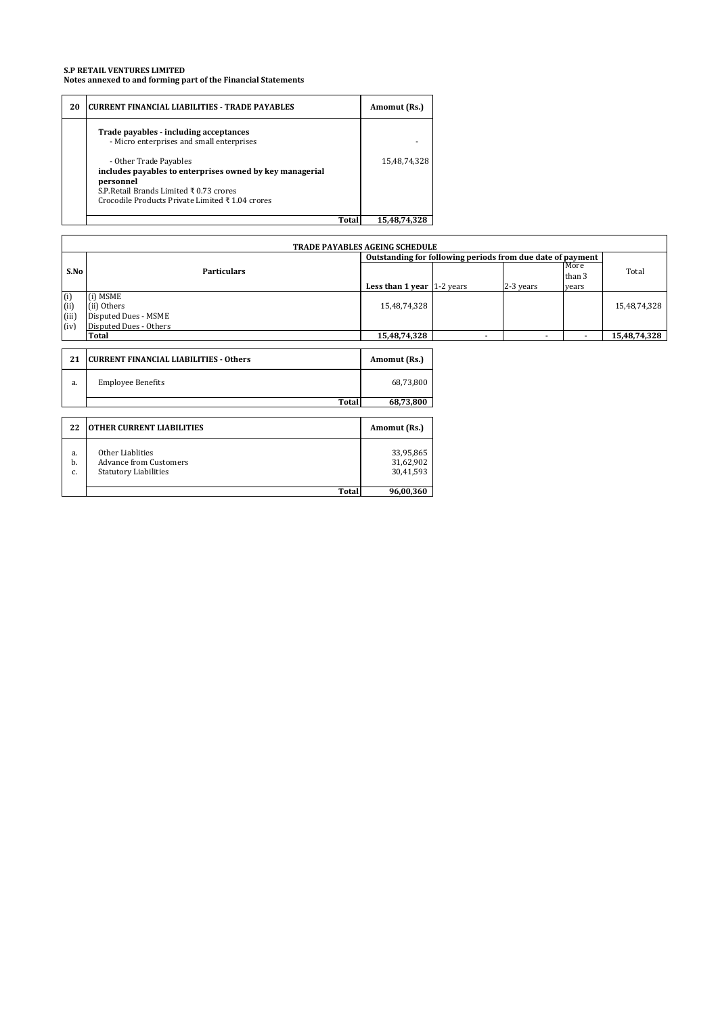#### **S.P RETAIL VENTURES LIMITED Notes annexed to and forming part of the Financial Statements**

| 20 | <b>CURRENT FINANCIAL LIABILITIES - TRADE PAYABLES</b>                                                                                                                                                  |       | Amomut (Rs.) |
|----|--------------------------------------------------------------------------------------------------------------------------------------------------------------------------------------------------------|-------|--------------|
|    | Trade payables - including acceptances<br>- Micro enterprises and small enterprises                                                                                                                    |       |              |
|    | - Other Trade Payables<br>includes payables to enterprises owned by key managerial<br>nersonnel<br>S.P.Retail Brands Limited ₹ 0.73 crores<br>Crocodile Products Private Limited $\bar{x}$ 1.04 crores |       | 15,48,74,328 |
|    |                                                                                                                                                                                                        | Total | 15.48.74.328 |

|                             | <b>TRADE PAYABLES AGEING SCHEDULE</b>                                             |                                                     |                |                |                         |              |  |
|-----------------------------|-----------------------------------------------------------------------------------|-----------------------------------------------------|----------------|----------------|-------------------------|--------------|--|
|                             | Outstanding for following periods from due date of payment                        |                                                     |                |                |                         |              |  |
| S.No                        | <b>Particulars</b>                                                                | Less than 1 year $\left  \frac{1}{2} \right $ years |                | 2-3 years      | More<br>than 3<br>vears | Total        |  |
| (i)<br>(i)<br>(iii)<br>(iv) | (i) MSME<br>(ii) Others<br>Disputed Dues - MSME<br>Disputed Dues - Others         | 15,48,74,328                                        |                |                |                         | 15,48,74,328 |  |
|                             | <b>Total</b>                                                                      | 15,48,74,328                                        | $\blacksquare$ | $\blacksquare$ | $\blacksquare$          | 15,48,74,328 |  |
|                             |                                                                                   |                                                     |                |                |                         |              |  |
| 21                          | CURRENT FINANCIAL LIABILITIES - Others                                            | Amomut (Rs.)                                        |                |                |                         |              |  |
| a.                          | <b>Employee Benefits</b>                                                          | 68,73,800                                           |                |                |                         |              |  |
|                             | <b>Total</b>                                                                      | 68,73,800                                           |                |                |                         |              |  |
|                             |                                                                                   |                                                     |                |                |                         |              |  |
| 22                          | <b>OTHER CURRENT LIABILITIES</b>                                                  | Amomut (Rs.)                                        |                |                |                         |              |  |
| a.<br>b.<br>c.              | Other Liablities<br><b>Advance from Customers</b><br><b>Statutory Liabilities</b> | 33,95,865<br>31,62,902<br>30,41,593                 |                |                |                         |              |  |

**Total 96,00,360**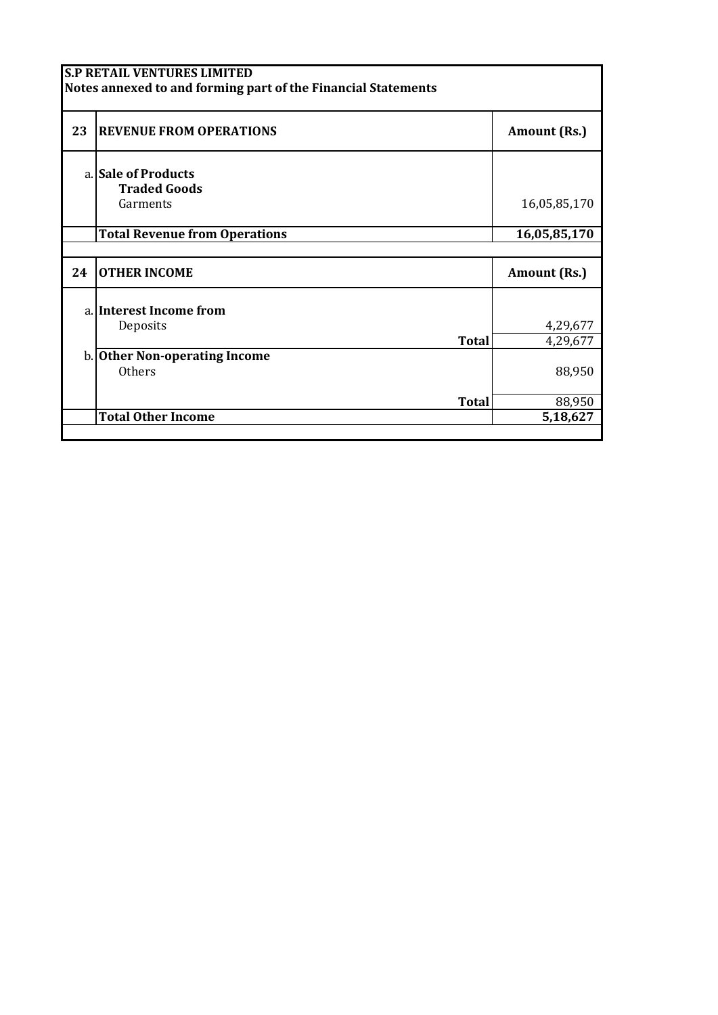|    | <b>S.P RETAIL VENTURES LIMITED</b><br>Notes annexed to and forming part of the Financial Statements |              |
|----|-----------------------------------------------------------------------------------------------------|--------------|
| 23 | <b>REVENUE FROM OPERATIONS</b>                                                                      | Amount (Rs.) |
|    | a. Sale of Products<br><b>Traded Goods</b>                                                          |              |
|    | Garments                                                                                            | 16,05,85,170 |
|    | <b>Total Revenue from Operations</b>                                                                | 16,05,85,170 |
|    |                                                                                                     |              |
| 24 | <b>OTHER INCOME</b>                                                                                 | Amount (Rs.) |
|    | a. Interest Income from                                                                             |              |
|    | Deposits                                                                                            | 4,29,677     |
|    | <b>Total</b>                                                                                        | 4,29,677     |
|    | b. Other Non-operating Income                                                                       |              |
|    | Others                                                                                              | 88,950       |
|    | Total                                                                                               | 88,950       |
|    | <b>Total Other Income</b>                                                                           | 5,18,627     |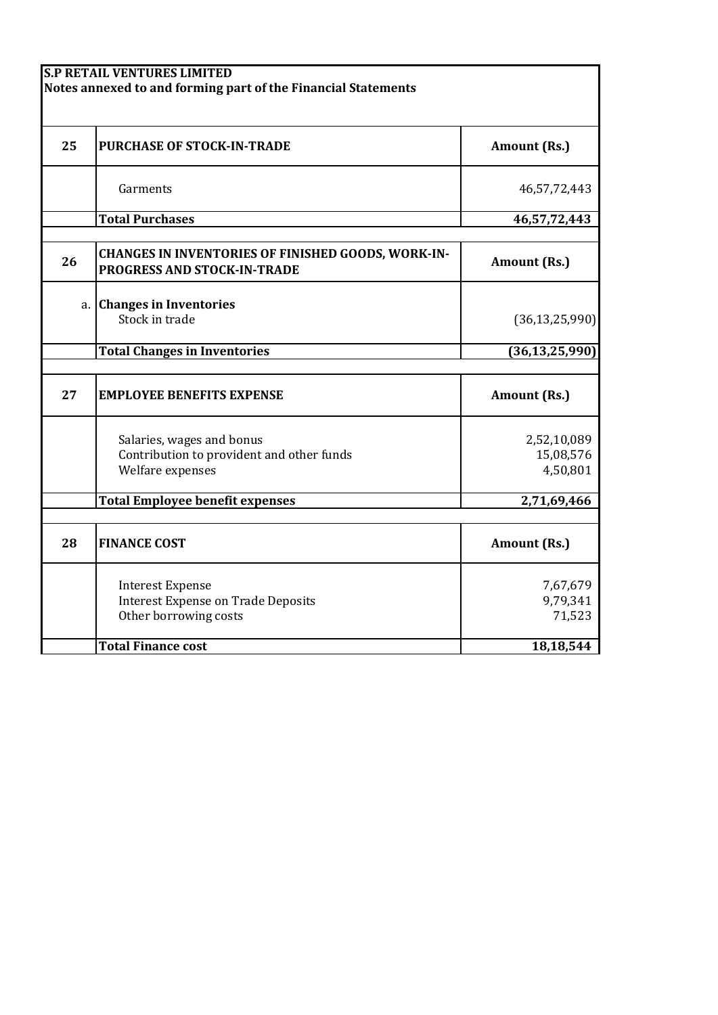|    | <b>S.P RETAIL VENTURES LIMITED</b><br>Notes annexed to and forming part of the Financial Statements |                                      |
|----|-----------------------------------------------------------------------------------------------------|--------------------------------------|
| 25 | <b>PURCHASE OF STOCK-IN-TRADE</b>                                                                   | Amount (Rs.)                         |
|    | Garments                                                                                            | 46,57,72,443                         |
|    | <b>Total Purchases</b>                                                                              | 46,57,72,443                         |
| 26 | <b>CHANGES IN INVENTORIES OF FINISHED GOODS, WORK-IN-</b><br>PROGRESS AND STOCK-IN-TRADE            | Amount (Rs.)                         |
| a. | <b>Changes in Inventories</b><br>Stock in trade                                                     | (36, 13, 25, 990)                    |
|    | <b>Total Changes in Inventories</b>                                                                 | (36, 13, 25, 990)                    |
| 27 | <b>EMPLOYEE BENEFITS EXPENSE</b>                                                                    | <b>Amount (Rs.)</b>                  |
|    | Salaries, wages and bonus<br>Contribution to provident and other funds<br>Welfare expenses          | 2,52,10,089<br>15,08,576<br>4,50,801 |
|    | <b>Total Employee benefit expenses</b>                                                              | 2,71,69,466                          |
| 28 | <b>FINANCE COST</b>                                                                                 | Amount (Rs.)                         |
|    | <b>Interest Expense</b><br><b>Interest Expense on Trade Deposits</b><br>Other borrowing costs       | 7,67,679<br>9,79,341<br>71,523       |
|    | <b>Total Finance cost</b>                                                                           | 18,18,544                            |